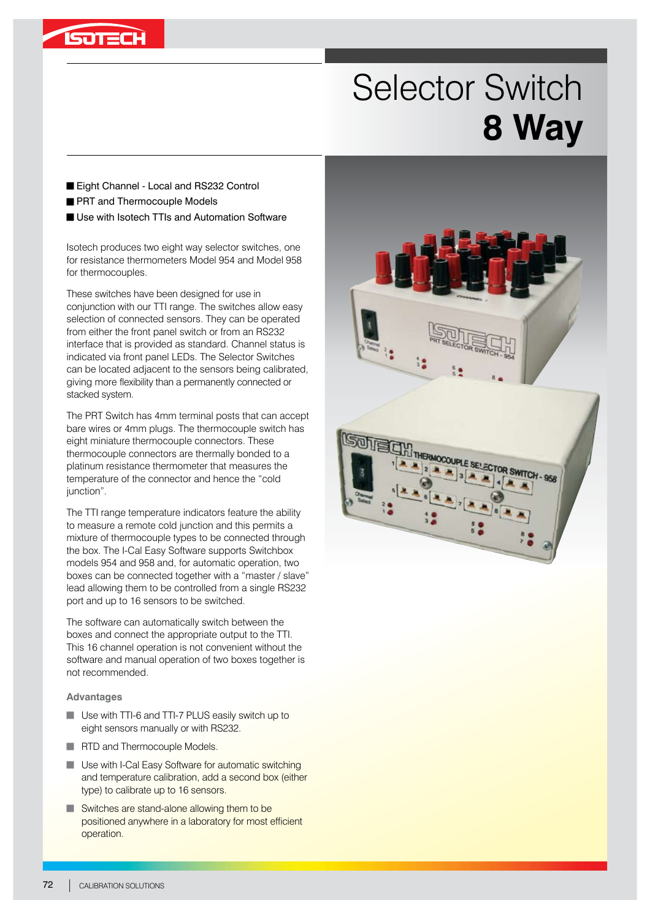

## Selector Switch **8 Way**

- Eight Channel Local and RS232 Control
- **PRT** and Thermocouple Models
- Use with Isotech TTIs and Automation Software

Isotech produces two eight way selector switches, one for resistance thermometers Model 954 and Model 958 for thermocouples.

These switches have been designed for use in conjunction with our TTI range. The switches allow easy selection of connected sensors. They can be operated from either the front panel switch or from an RS232 interface that is provided as standard. Channel status is indicated via front panel LEDs. The Selector Switches can be located adjacent to the sensors being calibrated, giving more flexibility than a permanently connected or stacked system.

The PRT Switch has 4mm terminal posts that can accept bare wires or 4mm plugs. The thermocouple switch has eight miniature thermocouple connectors. These thermocouple connectors are thermally bonded to a platinum resistance thermometer that measures the temperature of the connector and hence the "cold junction".

The TTI range temperature indicators feature the ability to measure a remote cold junction and this permits a mixture of thermocouple types to be connected through the box. The I-Cal Easy Software supports Switchbox models 954 and 958 and, for automatic operation, two boxes can be connected together with a "master / slave" lead allowing them to be controlled from a single RS232 port and up to 16 sensors to be switched.

The software can automatically switch between the boxes and connect the appropriate output to the TTI. This 16 channel operation is not convenient without the software and manual operation of two boxes together is not recommended.

## **Advantages**

- **Use with TTI-6 and TTI-7 PLUS easily switch up to** eight sensors manually or with RS232.
- RTD and Thermocouple Models.
- **Use with I-Cal Easy Software for automatic switching** and temperature calibration, add a second box (either type) to calibrate up to 16 sensors.
- $\blacksquare$  Switches are stand-alone allowing them to be positioned anywhere in a laboratory for most efficient operation.